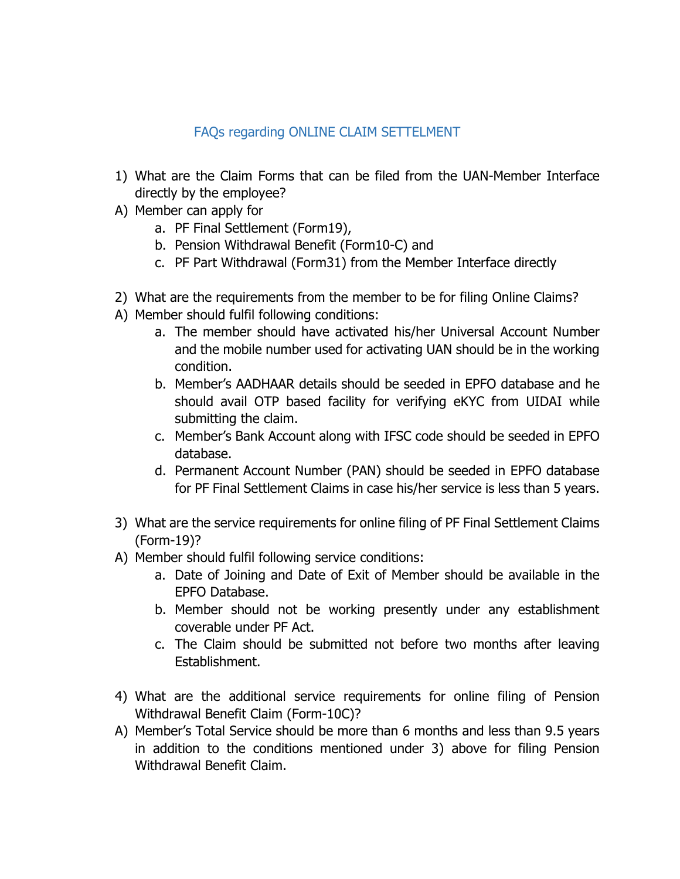## FAQs regarding ONLINE CLAIM SETTELMENT

- 1) What are the Claim Forms that can be filed from the UAN-Member Interface directly by the employee?
- A) Member can apply for
	- a. PF Final Settlement (Form19),
	- b. Pension Withdrawal Benefit (Form10-C) and
	- c. PF Part Withdrawal (Form31) from the Member Interface directly
- 2) What are the requirements from the member to be for filing Online Claims?
- A) Member should fulfil following conditions:
	- a. The member should have activated his/her Universal Account Number and the mobile number used for activating UAN should be in the working condition.
	- b. Member's AADHAAR details should be seeded in EPFO database and he should avail OTP based facility for verifying eKYC from UIDAI while submitting the claim.
	- c. Member's Bank Account along with IFSC code should be seeded in EPFO database.
	- d. Permanent Account Number (PAN) should be seeded in EPFO database for PF Final Settlement Claims in case his/her service is less than 5 years.
- 3) What are the service requirements for online filing of PF Final Settlement Claims (Form-19)?
- A) Member should fulfil following service conditions:
	- a. Date of Joining and Date of Exit of Member should be available in the EPFO Database.
	- b. Member should not be working presently under any establishment coverable under PF Act.
	- c. The Claim should be submitted not before two months after leaving Establishment.
- 4) What are the additional service requirements for online filing of Pension Withdrawal Benefit Claim (Form-10C)?
- A) Member's Total Service should be more than 6 months and less than 9.5 years in addition to the conditions mentioned under 3) above for filing Pension Withdrawal Benefit Claim.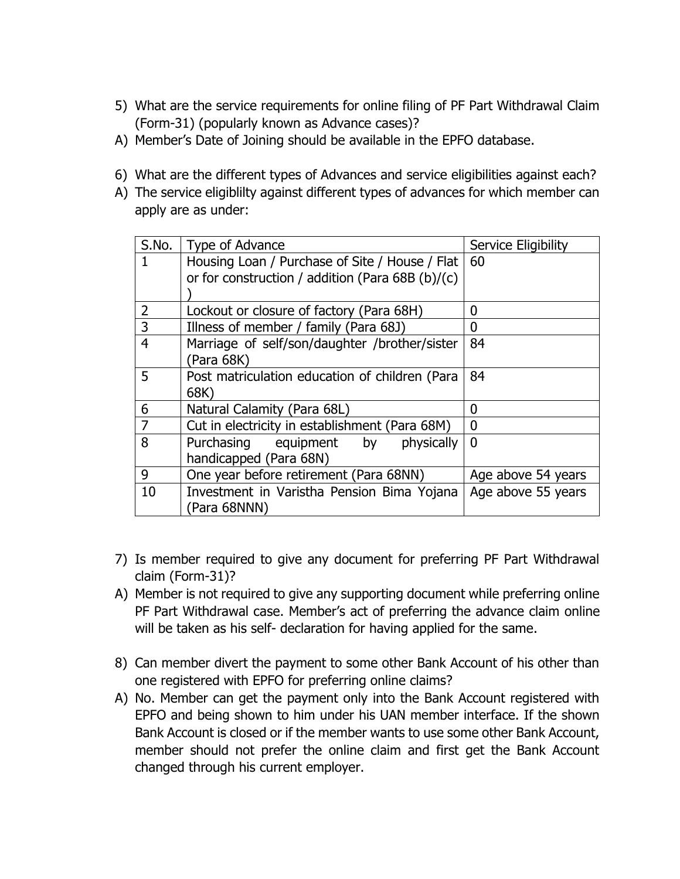- 5) What are the service requirements for online filing of PF Part Withdrawal Claim (Form-31) (popularly known as Advance cases)?
- A) Member's Date of Joining should be available in the EPFO database.
- 6) What are the different types of Advances and service eligibilities against each?
- A) The service eligiblilty against different types of advances for which member can apply are as under:

| S.No.          | Type of Advance                                  | <b>Service Eligibility</b> |
|----------------|--------------------------------------------------|----------------------------|
|                | Housing Loan / Purchase of Site / House / Flat   | 60                         |
|                | or for construction / addition (Para 68B (b)/(c) |                            |
|                |                                                  |                            |
| 2              | Lockout or closure of factory (Para 68H)         | 0                          |
| $\overline{3}$ | Illness of member / family (Para 68J)            | 0                          |
| $\overline{4}$ | Marriage of self/son/daughter /brother/sister    | 84                         |
|                | (Para 68K)                                       |                            |
| 5              | Post matriculation education of children (Para   | 84                         |
|                | 68K)                                             |                            |
| 6              | Natural Calamity (Para 68L)                      | 0                          |
| 7              | Cut in electricity in establishment (Para 68M)   | $\boldsymbol{0}$           |
| 8              | Purchasing equipment<br>by physically            | 0                          |
|                | handicapped (Para 68N)                           |                            |
| 9              | One year before retirement (Para 68NN)           | Age above 54 years         |
| 10             | Investment in Varistha Pension Bima Yojana       | Age above 55 years         |
|                | (Para 68NNN)                                     |                            |

- 7) Is member required to give any document for preferring PF Part Withdrawal claim (Form-31)?
- A) Member is not required to give any supporting document while preferring online PF Part Withdrawal case. Member's act of preferring the advance claim online will be taken as his self- declaration for having applied for the same.
- 8) Can member divert the payment to some other Bank Account of his other than one registered with EPFO for preferring online claims?
- A) No. Member can get the payment only into the Bank Account registered with EPFO and being shown to him under his UAN member interface. If the shown Bank Account is closed or if the member wants to use some other Bank Account, member should not prefer the online claim and first get the Bank Account changed through his current employer.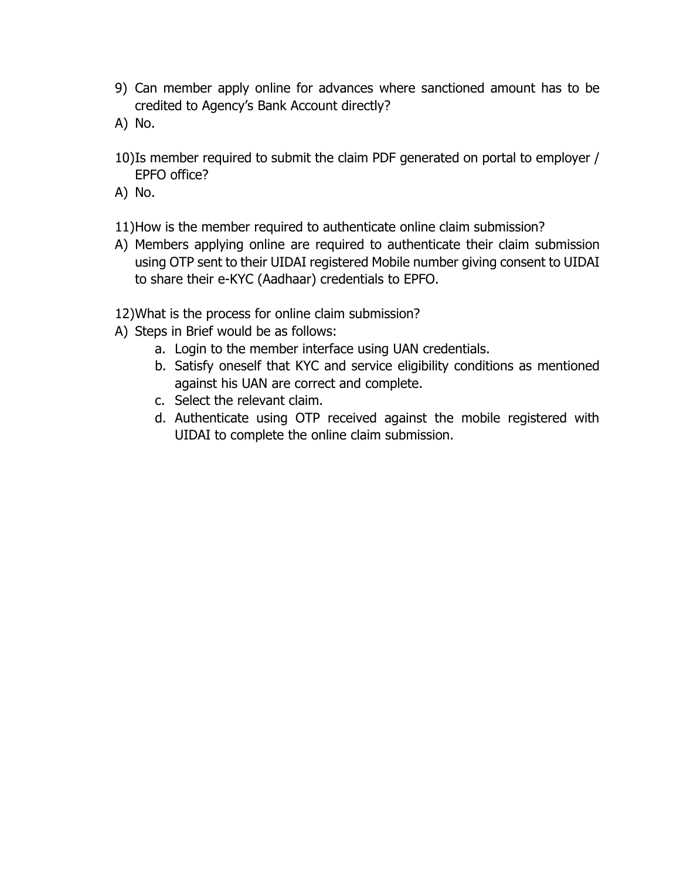- 9) Can member apply online for advances where sanctioned amount has to be credited to Agency's Bank Account directly?
- A) No.
- 10)Is member required to submit the claim PDF generated on portal to employer / EPFO office?
- A) No.
- 11)How is the member required to authenticate online claim submission?
- A) Members applying online are required to authenticate their claim submission using OTP sent to their UIDAI registered Mobile number giving consent to UIDAI to share their e-KYC (Aadhaar) credentials to EPFO.
- 12)What is the process for online claim submission?
- A) Steps in Brief would be as follows:
	- a. Login to the member interface using UAN credentials.
	- b. Satisfy oneself that KYC and service eligibility conditions as mentioned against his UAN are correct and complete.
	- c. Select the relevant claim.
	- d. Authenticate using OTP received against the mobile registered with UIDAI to complete the online claim submission.